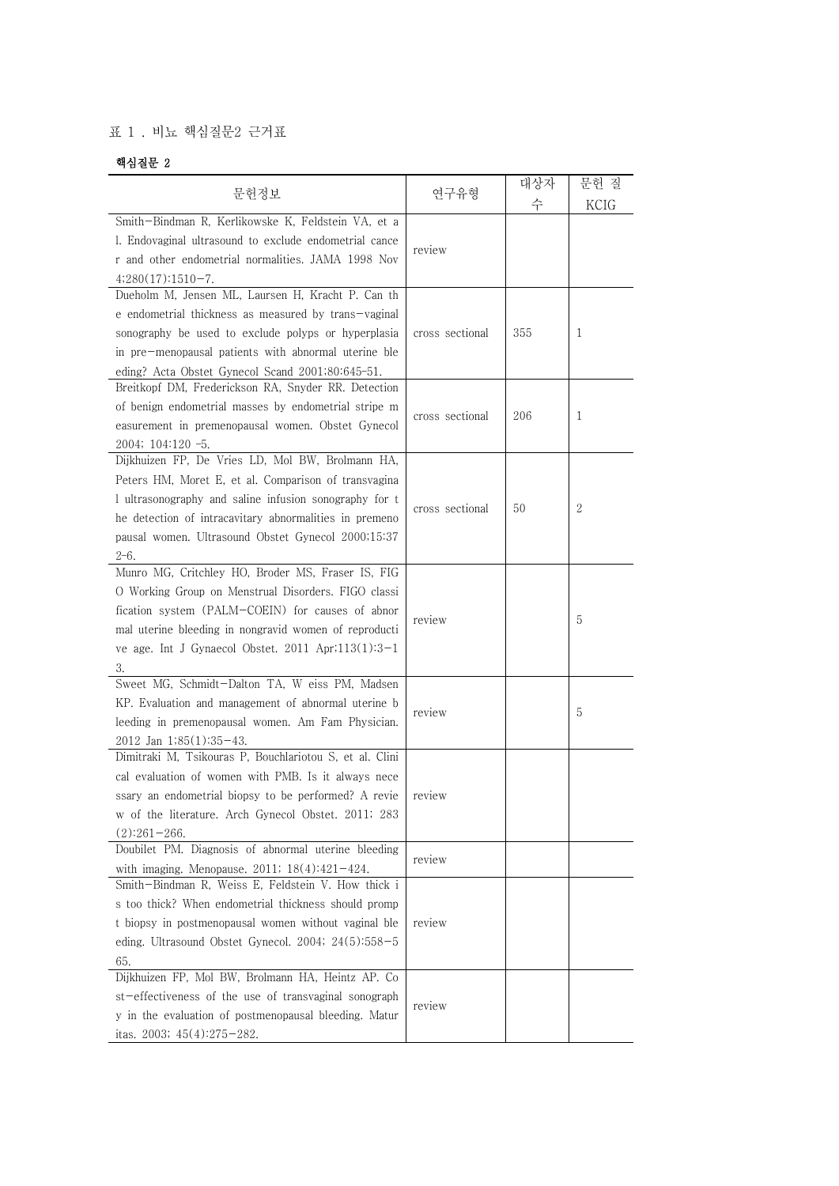## 표 1 . 비뇨 핵심질문2 근거표

## 핵심질문 2

|                                                                                                                                                                                                                                                                                                |                 | 대상자               | 문헌 질 |
|------------------------------------------------------------------------------------------------------------------------------------------------------------------------------------------------------------------------------------------------------------------------------------------------|-----------------|-------------------|------|
| 문헌정보                                                                                                                                                                                                                                                                                           |                 | 연구유형<br>수<br>KCIG |      |
| Smith-Bindman R, Kerlikowske K, Feldstein VA, et a<br>1. Endovaginal ultrasound to exclude endometrial cance<br>r and other endometrial normalities. JAMA 1998 Nov<br>$4;280(17):1510-7.$                                                                                                      | review          |                   |      |
| Dueholm M, Jensen ML, Laursen H, Kracht P. Can th<br>e endometrial thickness as measured by trans-vaginal<br>sonography be used to exclude polyps or hyperplasia<br>in pre-menopausal patients with abnormal uterine ble<br>eding? Acta Obstet Gynecol Scand 2001;80:645-51.                   | cross sectional | 355               | 1    |
| Breitkopf DM, Frederickson RA, Snyder RR. Detection<br>of benign endometrial masses by endometrial stripe m<br>easurement in premenopausal women. Obstet Gynecol<br>$2004; 104:120 -5.$                                                                                                        | cross sectional | 206               | 1    |
| Dijkhuizen FP, De Vries LD, Mol BW, Brolmann HA,<br>Peters HM, Moret E, et al. Comparison of transvagina<br>I ultrasonography and saline infusion sonography for t<br>he detection of intracavitary abnormalities in premeno<br>pausal women. Ultrasound Obstet Gynecol 2000;15:37<br>$2 - 6.$ | cross sectional | 50                | 2    |
| Munro MG, Critchley HO, Broder MS, Fraser IS, FIG<br>O Working Group on Menstrual Disorders. FIGO classi<br>fication system (PALM-COEIN) for causes of abnor<br>mal uterine bleeding in nongravid women of reproducti<br>ve age. Int J Gynaecol Obstet. 2011 Apr; $113(1):3-1$<br>3.           | review          |                   | 5    |
| Sweet MG, Schmidt-Dalton TA, W eiss PM, Madsen<br>KP. Evaluation and management of abnormal uterine b<br>leeding in premenopausal women. Am Fam Physician.<br>$2012$ Jan $1;85(1):35-43$ .                                                                                                     | review          |                   | 5    |
| Dimitraki M, Tsikouras P, Bouchlariotou S, et al. Clini<br>cal evaluation of women with PMB. Is it always nece<br>ssary an endometrial biopsy to be performed? A revie<br>w of the literature. Arch Gynecol Obstet. 2011; 283<br>$(2):261-266.$                                                | review          |                   |      |
| Doubilet PM. Diagnosis of abnormal uterine bleeding<br>with imaging. Menopause. 2011; $18(4):421-424$ .                                                                                                                                                                                        | review          |                   |      |
| Smith-Bindman R, Weiss E, Feldstein V. How thick i<br>s too thick? When endometrial thickness should promp<br>t biopsy in postmenopausal women without vaginal ble<br>eding. Ultrasound Obstet Gynecol. 2004; $24(5):558-5$<br>65.                                                             | review          |                   |      |
| Dijkhuizen FP, Mol BW, Brolmann HA, Heintz AP. Co<br>st-effectiveness of the use of transvaginal sonograph<br>y in the evaluation of postmenopausal bleeding. Matur<br>itas. 2003; $45(4):275-282$ .                                                                                           | review          |                   |      |